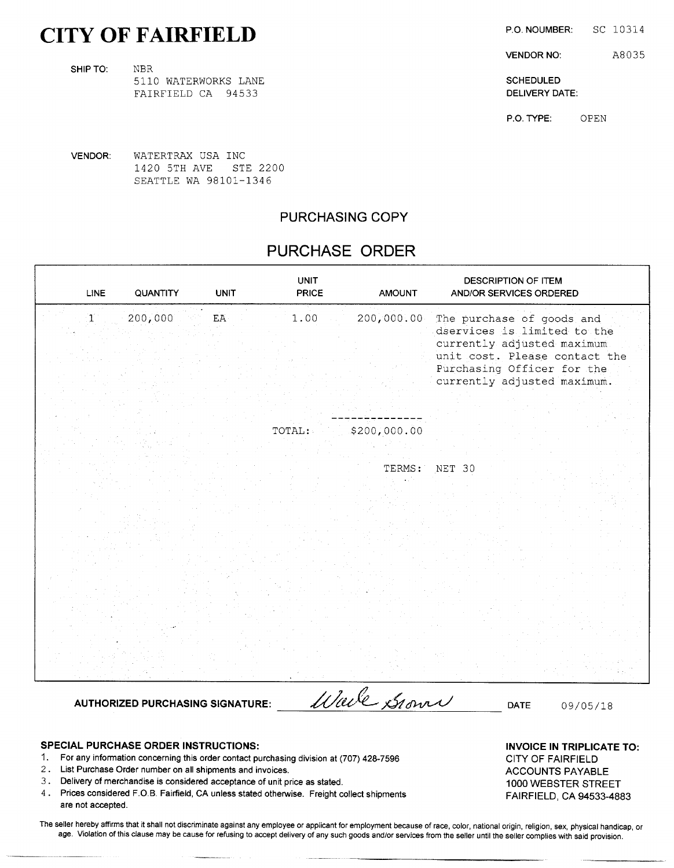# CITY OF FAIRFIELD P.O. NOUMBER: SC 10314

SHIP TO: NBR 5110 WATERWORKS LANE SCHEDULED SCHEDULED

FAIRFIELD CA 94533 **DELIVERY DATE:** 

VENDOR NO: A8035

P.O. TYPE: OPEN

VENDOR: WATERTRAX USA INC 1420 5TH AVE STE 2200 SEATTLE WA 98101-1346

# PURCHASING COPY

# PURCHASE ORDER

| 200,000<br>$\mathbf{1}^{\prime}$<br>1.00<br>200,000.00<br>${\rm EA}$<br>The purchase of goods and<br>dservices is limited to the<br>currently adjusted maximum<br>Purchasing Officer for the<br>currently adjusted maximum.<br>\$200,000.00<br>TOTAL:<br>TERMS:<br>NET 30 | LINE | QUANTITY | <b>UNIT</b> | <b>UNIT</b><br><b>PRICE</b> | <b>AMOUNT</b> | <b>DESCRIPTION OF ITEM</b><br>AND/OR SERVICES ORDERED |
|---------------------------------------------------------------------------------------------------------------------------------------------------------------------------------------------------------------------------------------------------------------------------|------|----------|-------------|-----------------------------|---------------|-------------------------------------------------------|
|                                                                                                                                                                                                                                                                           |      |          |             |                             |               | unit cost. Please contact the                         |
|                                                                                                                                                                                                                                                                           |      |          |             |                             |               |                                                       |
|                                                                                                                                                                                                                                                                           |      |          |             |                             |               |                                                       |

AUTHORIZED PURCHASING SIGNATURE: *Will CL SI own DATE* 09/05/18

SPECIAL PURCHASE ORDER INSTRUCTIONS: INVOICE IN TRIPLICATE TO:

- 1. For any information concerning this order contact purchasing division at (707) 428 -7596 CITY OF FAIRFIELD
- 2. List Purchase Order number on all shipments and invoices. ACCOUNTS PAYABLE
- 3. Delivery of merchandise is considered acceptance of unit price as stated. 1000 WEBSTER STREET<br>3. Prices considered F.O.B. Fairfield, CA unless stated otherwise. Freight collect shipments. 1000 FAIRELELD, CA 04522, 499
- Prices considered F.O.B. Fairfield, CA unless stated otherwise. Freight collect shipments FAIRFIELD, CA 94533-4883 are not accepted.

The seller hereby affirms that it shall not discriminate against any employee or applicant for employment because of race, color, national origin, religion, sex, physical handicap, or age. Violation of this clause may be cause for refusing to accept delivery of any such goods and/or services from the seller until the seller complies with said provision.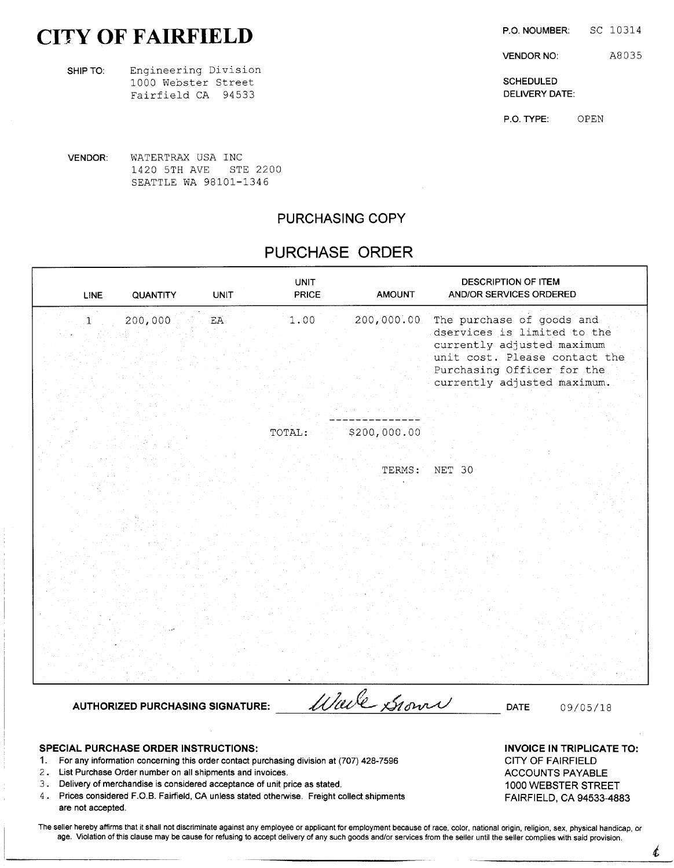# CITY OF FAIRFIELD P.O. NOUMBER: SC 10314

SHIP TO: Engineering Division 1000 Webster Street Schedule SCHEDULED Fairfield CA <sup>94533</sup> DELIVERY DATE:

VENDOR NO: A8035

P.O. TYPE: OPEN

VENDOR: WATERTRAX USA INC 1420 5TH AVE STE 2200 SEATTLE WA 98101-1346

## PURCHASING COPY

# PURCHASE ORDER

| <b>LINE</b>          | QUANTITY | <b>UNIT</b>            | <b>UNIT</b><br><b>PRICE</b> | <b>AMOUNT</b> | <b>DESCRIPTION OF ITEM</b><br>AND/OR SERVICES ORDERED                                                                                                                                |
|----------------------|----------|------------------------|-----------------------------|---------------|--------------------------------------------------------------------------------------------------------------------------------------------------------------------------------------|
| $\mathbf{1}^{\cdot}$ | 200,000  | $\mathbf{E}\mathbf{A}$ | 1.00                        | 200,000.00    | The purchase of goods and<br>dservices is limited to the<br>currently adjusted maximum<br>unit cost. Please contact the<br>Purchasing Officer for the<br>currently adjusted maximum. |
|                      |          |                        |                             |               |                                                                                                                                                                                      |
|                      |          |                        | TOTAL:                      | \$200,000.00  |                                                                                                                                                                                      |
|                      |          |                        |                             | TERMS:        | NET 30                                                                                                                                                                               |
|                      |          |                        |                             |               |                                                                                                                                                                                      |
|                      |          |                        |                             |               |                                                                                                                                                                                      |
|                      |          |                        |                             |               |                                                                                                                                                                                      |

AUTHORIZED PURCHASING SIGNATURE:  $\mathcal{U}/\mathcal{U}/\mathcal{U}$   $\mathcal{A}_{\mathcal{U}}$ 

SPECIAL PURCHASE ORDER INSTRUCTIONS: INVOICE IN TRIPLICATE TO:

1. For any information concerning this order contact purchasing division at (707) 428 -7596 CITY OF FAIRFIELD

2. List Purchase Order number on all shipments and invoices. ACCOUNTS PAYABLE

3. Delivery of merchandise is considered acceptance of unit price as stated. <sup>1000</sup> WEBSTER STREET

<sup>4</sup> Prices considered F.B. O.Fairfield, CA unless stated otherwise. Freight collect shipments FAIRFIELD, CA 94533 -4883 are not accepted.

The seller hereby affirms that it shall not discriminate against any employee or applicant for employment because of race, color, national origin, religion, sex, physical handicap, or age. Violation of this clause may be cause for refusing to accept delivery of any such goods and/or services from the seller until the seller complies with said provision.

 $\boldsymbol{\ell}$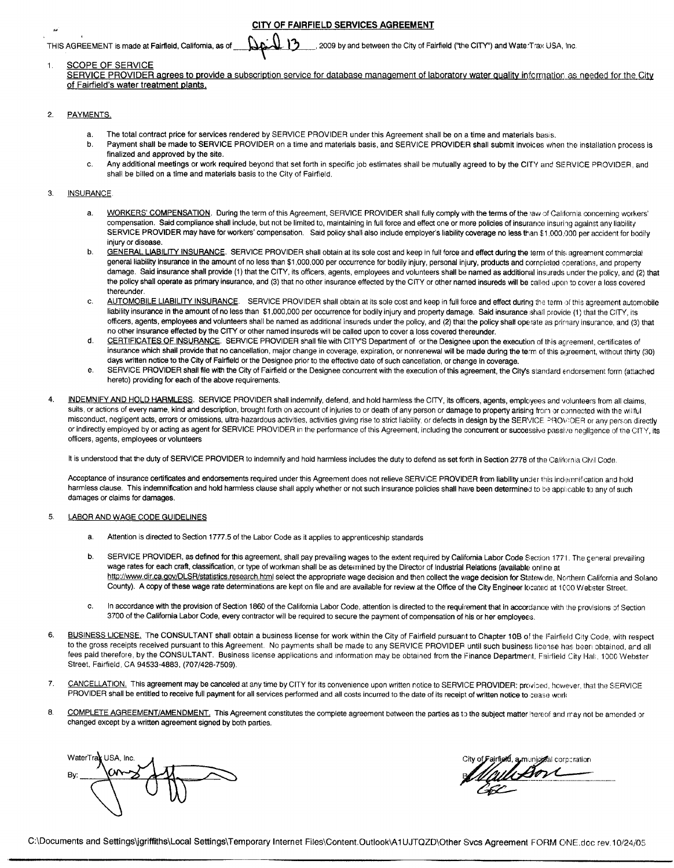CITY OF FAIRFIELD SERVICES AGREEMENT

## THIS AGREEMENT is made at Fairfield, California, as of  $\Box$   $\Box$  2009 by and between the City of Fairfield ("the CITY") and WaterTrax USA, Inc.

## 1. SCOPE OF SERVICE

SERVICE PROVIDER agrees to provide a subscription service for database management of laboratory water quality information as needed for the City of Fairfield's water treatment plants.

## 2. PAYMENTS.

- ari

- a. The total contract price for services rendered by SERVICE PROVIDER under this Agreement shall be on <sup>a</sup> time and materials basis.
- b. Payment shall be made to SERVICE PROVIDER on <sup>a</sup> time and materials basis, and SERVICE PROVIDER shall submit invoices when the installation process is finalized and approved by the site.
- c. Any additional meetings or work required beyond that set forth in specific job estimates shall be mutually agreed to by the CITY and SERVICE PROVIDER, and shall be billed on a time and materials basis to the City of Fairfield.

## 3. INSURANCE

- a. WORKERS' COMPENSATION. During the term of this Agreement, SERVICE PROVIDER shall fully comply with the terms of the 'aw of California concerning workers' compensation. Said compliance shall include, but not be limited to, maintaining in full force and effect one or more policies of insurance insuring against any liability SERVICE PROVIDER may have for workers' compensation. Said policy shall also include employer's liability coverage no less than \$1,000,000 per accident for bodily injury or disease.
- b. GENERAL LIABILITY INSURANCE. SERVICE PROVIDER shall obtain at its sole cost and keep in full force and effect during the term of this agreement commercial general liability insurance in the amount of no less than \$1,000,000 per occurrence for bodily injury, personal injury, products and cornpleted operations, and property damage. Said insurance shall provide (1) that the CITY, its officers, agents, employees and volunteers shall be named as additional insureds under the policy, and (2) that the policy shall operate as primary insurance, and (3) that no other insurance effected by the CITY or other narned insureds will be called upon to cover <sup>a</sup> loss covered thereunder.
- thereunder.<br>
AUTOMOBILE LIABILITY INSURANCE. SERVICE PROVIDER shall obtain at its sole cost and keep in full force and effect during the term of this agreement automobile<br>
liability insurance in the amount of no less than liability insurance in the amount of no less than \$1,000,000 per occurrence for bodily injury and property damage. Said insurance shall provide (1) that the CITY, its<br>officers, agents, employees and volunteers shall be nam no other insurance effected by the CITY or other named insureds will be called upon to cover a loss covered thereunder.
- d. CERTIFICATES OF INSURANCE. SERVICE PROVIDER shall file with CITY'S Department of or the Designee upon the execution of this agreement, certificates of insurance which shall provide that no cancellation, major change in coverage, expiration, or nonrenewal will be made during the term of this agreement, without thirty (30) days written notice to the City of Fairfield or the Designee prior to the effective date of such cancellation, or change in coverage.
- e. SERVICE PROVIDER shall file with the City of Fairfield or the Designee concurrent with the execution of this agreement, the City's standard endorsement form (attached hereto) providing for each of the above requirements.
- 4. INDEMNIFY AND HOLD HARMLESS. SERVICE PROVIDER shall indemnify, defend, and hold harmless the CITY, its officers, agents, employees and volunteers from all claims, suits, or actions of every name, kind and description, brought forth on account of injuries to or death of any person or damage to property arising from or connected with the willful misconduct, negligent acts, errors or omissions, ultra-hazardous activities, activities giving rise to strict liability, or defects in design by the SERVICE PROV!DER or any person directly or indirectly employed by or acting as agent for SERVICE PROVIDER in the performance of this Agreement, including the concurrent or successive passive negligence of the CITY, its officers, agents, employees or volunteers

It is understood that the duty of SERVICE PROVIDER to indemnify and hold harmless includes the duty to defend as set forth in Section 2778 of the California Civil Code.

Acceptance of insurance certificates and endorsements required under this Agreement does not relieve SERVICE PROVIDER from liability under this indemnification and hold harmless clause. This indemnification and hold harmless clause shall apply whether or not such insurance policies shall have been determined to be applicable to any of such damages or claims for damages.

## 5. LABOR AND WAGE CODE GUIDELINES

- a. Attention is directed to Section 1777.5 of the Labor Code as it applies to apprenticeship standards
- b. SERVICE PROVIDER, as defined for this agreement, shall pay prevailing wages to the extent required by California Labor Code Section 1771. The general prevailing wage rates for each craft, classification, or type of workman shall be as determined by the Director of Industrial Relations (available online at http://www.dir.ca.gov/DLSR/statistics.research.html select the appropriate wage decision and then collect the wage decision for Statewide, Northern California and Solano County). A copy of these wage rate determinations are kept on file and are available for review at the Office of the City Engineer locatecl at 1000 Webster Street.
- c. In accordance with the provision of Section 1860 of the California Labor Code, attention is directed to the requirement that in accordance with the provisions of Section <sup>3700</sup> of the California Labor Code, every contractor will be required to secure the payment of compensation of his or her employees.
- 6. BUSINESS LICENSE. The CONSULTANT shall obtain a business license for work within the City of Fairfield pursuant to Chapter 10B of the Fairfield City Code, with respect to the gross receipts received pursuant to this Agreement. No payments shall be made to any SERVICE PROVIDER until such business lice ise has been obtained, and all fees paid therefore, by the CONSULTANT. Business license applications and information may be obtained from the Finance Department, Fairfield City Hall, 1000 Webster Street, Fairfield, CA 94533-4883, (707/428-7509).
- 7. CANCELLATION. This agreement may be canceled at any time by CITY for its convenience upon written notice to SERVICE PROVIDER: provided, however, that the SERVICE PROVIDER shall be entitled to receive full payment for all services performed and all costs incurred to the date of its receipt of written notice to cease work
- 8. COMPLETE AGREEMENT/AMENDMENT. This Agreement constitutes the complete agreement between the parties as to the subject matter hereof and may not be amended or changed except by <sup>a</sup> written agreement signed by both parties.

WaterTra<mark>x</mark> USA, Inc. Must be a state of a state of air min in the correct of airfield, a municipal corporation  $\frac{1}{\sqrt{2}}$  $\subset$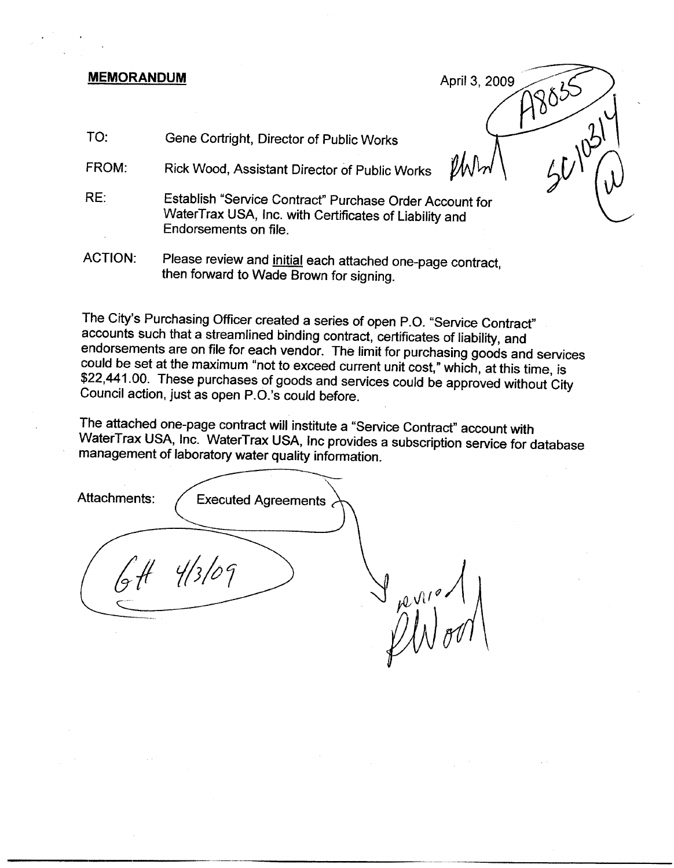# MEMORANDUM April 3, 2009

TO: Gene Cortright, Director of Public Works

FROM: Rick Wood, Assistant Director of Public Works

- RE: Establish "Service Contract" Purchase Order Account for WaterTrax USA, Inc. with Certificates of Liability and Endorsements on file.
- ACTION: Please review and initial each attached one-page contract, then forward to Wade Brown for signing.

The City's Purchasing Officer created <sup>a</sup> series of open P.O. "Service Contract" accounts such that <sup>a</sup> streamlined binding contract, certificates of liability, and endorsements are on file for each vendor. The limit for purchasing goods and services<br>could be set at the maximum "not to exceed current unit cost," which, at this time, is<br>\$22,441.00. These purchases of goods and services could be set at the maximum "not to exceed current unit cost," which, at this time, is<br>\$22,441.00. These purchases of goods and services could be approved without City

PP855 2

The attached one -page contract will institute a "Service Contract" account with WaterTrax USA, Inc. WaterTrax USA, Inc provides <sup>a</sup> subscription service for database management of laboratory water quality information.

Attachments: / Executed Agreements  $4/3/09$  $\lambda$ i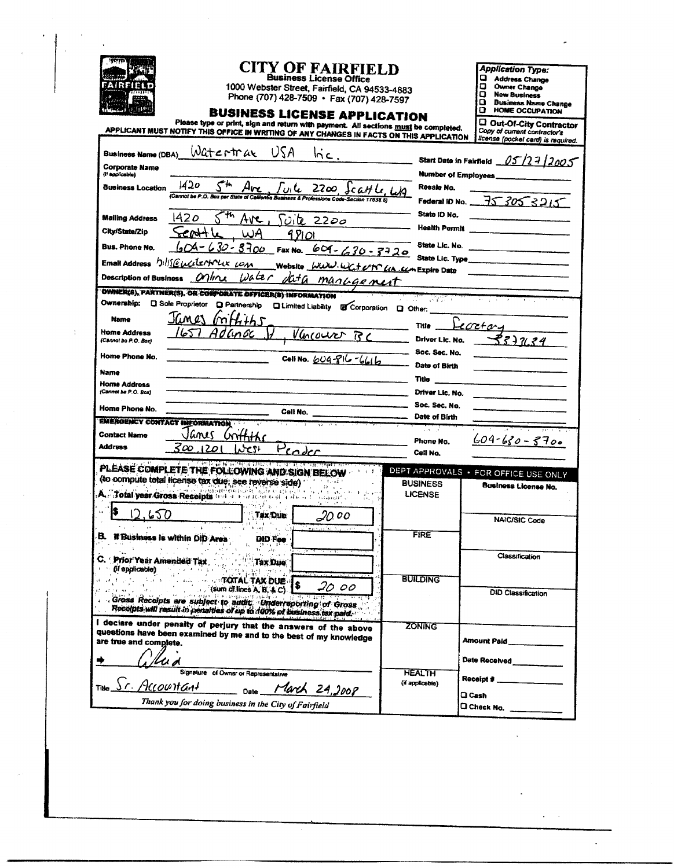| irith                                                                                              | <b>CITY OF FAIRFIELD</b><br><b>Business License Office</b><br>1000 Webster Street, Fairfield, CA 94533-4883<br>Phone (707) 428-7509 · Fax (707) 428-7597<br><b>BUSINESS LICENSE APPLICATION</b><br>Please type or print, sign and return with payment. All sections must be completed.<br>APPLICANT MUST NOTIFY THIS OFFICE IN WRITING OF ANY CHANGES IN FACTS ON THIS APPLICATION |                                                              | <b>Application Type:</b><br>o.<br><b>Address Change</b><br>ם<br>Owner Change<br>ο<br><b>New Business</b><br>o.<br><b>Business Name Change</b><br>o<br><b>HOME OCCUPATION</b><br>C Out-Of-City Contractor<br>Copy of current contractor's<br>license (pocket card) is required. |
|----------------------------------------------------------------------------------------------------|------------------------------------------------------------------------------------------------------------------------------------------------------------------------------------------------------------------------------------------------------------------------------------------------------------------------------------------------------------------------------------|--------------------------------------------------------------|--------------------------------------------------------------------------------------------------------------------------------------------------------------------------------------------------------------------------------------------------------------------------------|
| <b>Business Name (DBA)</b><br><b>Corporate Name</b><br>(i) applicable)<br><b>Business Location</b> | Watertrax<br>USA<br>$\overline{\mathsf{mc}}$ .<br>$1420$ $5$ <sup>th</sup> Ave ful 2200 Scatt Le, LA                                                                                                                                                                                                                                                                               | Start Date in Fairfield<br>Number of Employees<br>Resale No. | 05/2712005                                                                                                                                                                                                                                                                     |
| <b>Mailing Address</b><br>City/State/Zip                                                           | 420<br>Ave.<br><u>Fuite</u> 2200<br>WA<br>9 Pi Ol                                                                                                                                                                                                                                                                                                                                  | State ID No.<br><b>Health Permit</b>                         | Federal ID No. 75 305 3215                                                                                                                                                                                                                                                     |
| Bus. Phone No.                                                                                     | $630 - 3700$<br>Fax No. 609-630-3720<br>Email Address bills @ welson we can<br>Website <i>WWW.WC+UN UA SCA</i> Expire Date                                                                                                                                                                                                                                                         | State Lic. No.<br>State Lic. Type                            |                                                                                                                                                                                                                                                                                |
| <b>Description of Business</b>                                                                     | Waler<br>anka i<br>data management<br>OWNER(S), PARTNER(S), OR CORPORATE OFFICER(S) INFORMATION                                                                                                                                                                                                                                                                                    | 2019 P                                                       |                                                                                                                                                                                                                                                                                |
| Ownership:<br><b>Name</b><br>Home Address<br>(Cannot be P.O. Box)                                  | Q Sole Proprietor Q Partnership Q Limited Liability @ Corporation Q Other:<br>IGM CS<br>mrower                                                                                                                                                                                                                                                                                     | <b>Title</b><br>Driver Lic. No.                              | ecreta<br>77.84                                                                                                                                                                                                                                                                |
| Home Phone No.<br>Name                                                                             | Celi No. 604-816-6616                                                                                                                                                                                                                                                                                                                                                              | Soc. Sec. No.<br><b>Date of Birth</b><br>Title               |                                                                                                                                                                                                                                                                                |
| <b>Home Address</b><br>(Cannot be P.O. Box)<br>Home Phone No.                                      | Cell No.                                                                                                                                                                                                                                                                                                                                                                           | Driver Lic. No.<br>Soc. Sec. No.<br>Date of Birth            |                                                                                                                                                                                                                                                                                |
| <b>EMERGENCY CONTACT INFORMATION</b><br><b>Contact Name</b><br><b>Address</b>                      | ilanes<br>3œ<br>1201<br>سماه مماس                                                                                                                                                                                                                                                                                                                                                  | Phone No.<br>Cell No.                                        | $604 - 630 - 3700$                                                                                                                                                                                                                                                             |
|                                                                                                    | ∮ – a 11 milionale apresa na Paragona (no marca de 1990), español e a la francesa de 1990 e 1990 e 1990 e 1990<br>PLEASE COMPLETE THE FOLLOWING AND SIGN BELOW<br>(to compute total license tax due; see reverse side)<br>A. Total year Gross Receipts and a realizer and the co<br>أفلعفينا والمتارية                                                                             | <b>BUSINESS</b><br><b>LICENSE</b>                            | DEPT APPROVALS . FOR OFFICE USE ONLY<br>Business License No.                                                                                                                                                                                                                   |
| is.<br>650<br>В.                                                                                   | Tax Due<br>20.00<br>If Business is within DID Area<br><b>DID Fee</b><br>결혼 수 없는 것이 아니?                                                                                                                                                                                                                                                                                             | <b>FIRE</b>                                                  | NAIC/SIC Code                                                                                                                                                                                                                                                                  |
|                                                                                                    | C. Prior Year Amended Tax. Prior Limit Tax Due,                                                                                                                                                                                                                                                                                                                                    | <b>BUILDING</b>                                              | Classification                                                                                                                                                                                                                                                                 |
|                                                                                                    | 20. oo<br>$($ (sum of lines A, B, $A C$ ).<br>dioss Receipts are subject to audit, Underreporting of Gross<br>Receipts will result in penalties of up to 100% of business tax paid.                                                                                                                                                                                                |                                                              | <b>DID Classification</b>                                                                                                                                                                                                                                                      |
| are true and complete.<br>/ lud                                                                    | I deciare under penalty of perjury that the answers of the above<br>questions have been examined by me and to the best of my knowledge                                                                                                                                                                                                                                             | <b>ZONING</b>                                                | Amount Paid                                                                                                                                                                                                                                                                    |
|                                                                                                    | Signature of Owner or Representative<br>TING <u>Sr. Accountant</u> Date March 24,2008                                                                                                                                                                                                                                                                                              | <b>HEALTH</b><br>(if applicable)                             | Receipt # ________________<br><b>Q</b> Cash                                                                                                                                                                                                                                    |
|                                                                                                    | Thank you for doing business in the City of Fairfield                                                                                                                                                                                                                                                                                                                              |                                                              | C Check No.                                                                                                                                                                                                                                                                    |

 $\sim$ 

 $\ddot{\phantom{0}}$ 

 $\frac{1}{2}$ 

 $\ddot{\phantom{a}}$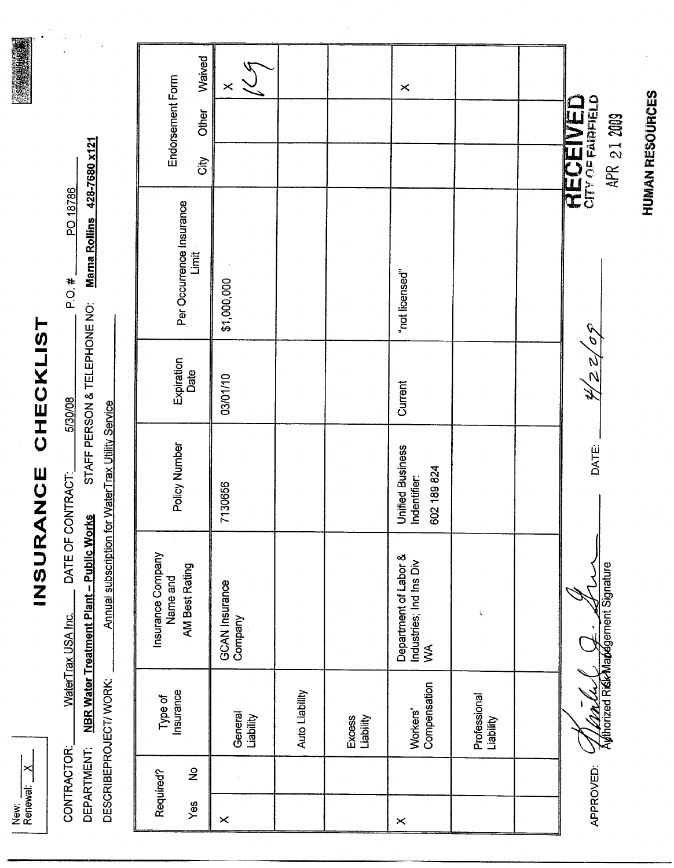New:<br>Renewal: X

# INSURANCE CHECKLIST

| CONTRACTOR:            | <br>ا <u>ذ</u><br>VaterTrax USA Inc. | DATE OF CONTRACT:                                | PO 18786<br>#<br>Q<br>Q                                  |
|------------------------|--------------------------------------|--------------------------------------------------|----------------------------------------------------------|
|                        | DEPARTMENT: NBR Water Treatment      | Plant - Public Works                             | STAFF PERSON & TELEPHONE NO: Marna Rollins 428-7680 x121 |
| DESCRIBEPROJECT/ WORK: |                                      | mnual subscription for WaterTrax Utility Service |                                                          |

 $\frac{1}{2}$ 

|                               | Waived                            | $\times$                  |                |                            | $\times$                                                          |                           |                      |
|-------------------------------|-----------------------------------|---------------------------|----------------|----------------------------|-------------------------------------------------------------------|---------------------------|----------------------|
| Endorsement Form              | Other                             |                           |                |                            |                                                                   |                           | <b>RECEIVED</b>      |
|                               | City                              |                           |                |                            |                                                                   |                           | APR 21 2009          |
|                               | Per Occurrence Insurance<br>Limit | \$1,000,000               |                |                            | "not licensed"                                                    |                           |                      |
| Expiration<br>Date            |                                   | 03/01/10                  |                |                            | Current                                                           |                           | 2/22/05              |
| Policy Number                 |                                   | 7130656                   |                |                            | <b>Unified Business</b><br>602 189 824<br>Indentifier:            |                           | DATE:                |
| Insurance Company<br>Name and | AM Best Rating                    | GCAN Insurance<br>Company |                |                            | Department of Labor &<br>Industries; Ind Ins Div<br>$\frac{1}{2}$ | ţ,                        | Madegement Signature |
| Type of<br>Insurance          |                                   | General<br>Liability      | Auto Liability | <b>Excess</b><br>Liability | Compensation<br>Workers'                                          | Professional<br>Liability |                      |
|                               | $\hat{\mathcal{Z}}$               |                           |                |                            |                                                                   |                           |                      |
| Required?                     | Yes                               | $\times$                  |                |                            | $\times$                                                          |                           | APPROVED:            |

**HUMAN RESOURCES**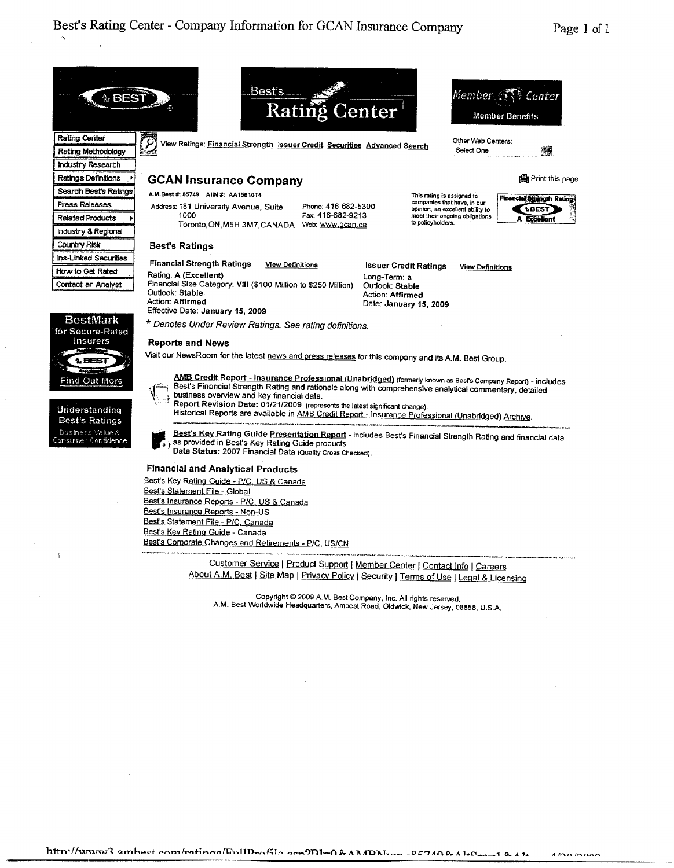Center

鱜

**LBEST Preallon** 

**A** BEST Rating Center Industry Research Industry Regional Country Risk Best's Ratings Ins-Linked Securities Contact an Analyst <sup>1</sup>



**Best's Ratings**<br>Business Value &<br>Jonsumer Confidence



business overview and key financial data.<br>Report Revision Date: 01/21/2009 (represents the latest significant change). Report Revision Date: 01/21/2009 (represents the latest significant change).<br>
Historical Reports are available in <u>AMB Credit Report - Insurance Professional (Unabridged) Archive.</u><br>
Best's Ratings variable in AMB Credit Re Best's Ratings<br>Best's Rating Guide Presentation Report - Insurance Professional (Unabridged) Archive.<br>Business Value & Best's Key Rating Guide Presentation Report - includes Best's Financial Strength Rating and financial d

pg Data Status: 2007 Financial Data (Quality Cross Checked).

## Financial and Analytical Products

Best's Key Rating Guide - P/C, US & Canada Best's Statement File - Global Best's Insurance Reports - P/C, US & Canada Best's Insurance Reports - Non-US Best's Statement File - P/C, Canada Best's Key Rating Guide - Canada Best's Corporate Changes and Retirements - P/C, US/CN

> Customer Service <sup>1</sup> Product Support <sup>I</sup> Member Center <sup>I</sup> Contact Info <sup>I</sup> Careers About A.M. Best | Site Map | Privacy Policy | Security | Terms of Use | Legal & Licensing

Copyright <sup>2009</sup> A.M. Best Company, Inc. All rights reserved. A.M. Best Worldwide Headquarters, Ambest Road, Oldwick, New Jersey, 08858, U.S.A.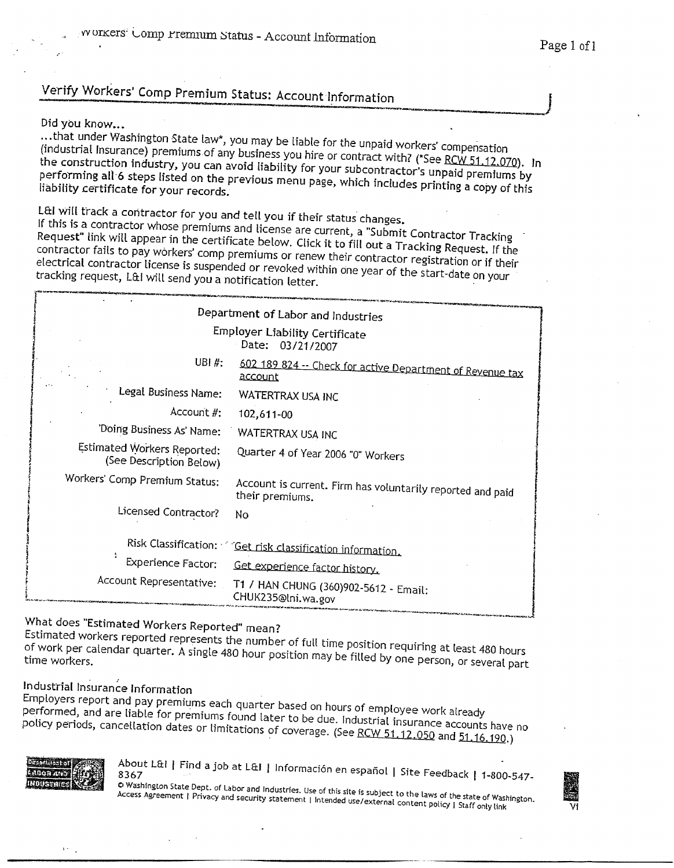# Verify Workers' Comp Premium Status: Account Information

## Did you know...

...that under Washington State law\*, you may be liable for the unpaid workers' compensation<br>(industrial Insurance) premiums of any business you hire or contract with? (\*See RCW 51.12.070). I<br>the construction industry, you ...that under Washington State law\*, you may be liable for the unpaid workers' compensation<br>(industrial Insurance) premiums of any business you hire or contract with? (\*See <u>RCW 51.12.070)</u>. In<br>the construction industry, y we construction maustry, you can<br>performing all 6 steps listed on the you may be liable for the unpaid workers' compensation<br>y business you hire or contract with? (\*See <u>RCW 51.12.070)</u>.<br>avoid liability for your subcontractor's unpaid premiums by<br>previous menu page, which includes printing a liability certificate for your records.

L&I will track a contractor for you and tell you if their status changes.<br>If this is a contractor whose premiums and license are current, a "Submit Contractor Tracking<br>Request" link will appear in the certificate below. Cl electrical contractor license is suspended or revoked within one year of the start-date on your<br>tracking request, L&I will send you a notification letter.

|                                                        | Department of Labor and Industries                                            |
|--------------------------------------------------------|-------------------------------------------------------------------------------|
|                                                        | <b>Employer Liability Certificate</b><br>Date: 03/21/2007                     |
| UBI #:                                                 | 602 189 824 -- Check for active Department of Revenue tax<br>account          |
| Legal Business Name:                                   | WATERTRAX USA INC                                                             |
| Account #:                                             | 102,611-00                                                                    |
| 'Doing Business As' Name:                              | WATERTRAX USA INC                                                             |
| Estimated Workers Reported:<br>(See Description Below) | Quarter 4 of Year 2006 "0" Workers                                            |
| Workers' Comp Premium Status:                          | Account is current. Firm has voluntarily reported and paid<br>their premiums. |
| Licensed Contractor?                                   | No                                                                            |
| Risk Classification:                                   | Get risk classification information.                                          |
| Experience Factor:                                     | Get experience factor history.                                                |
| Account Representative:                                | T1 / HAN CHUNG (360)902-5612 - Email:<br>CHUK235@lni.wa.gov                   |

What does "Estimated Workers Reported" mean?<br>Estimated workers reported represents the number of full time position requiring at least 480 hours Estimated workers reported represents the number of full time position requiring at least 480 hours<br>of work per calendar quarter. A single 480 hour position may be filled by one person, or several part<br>time workers.

Industrial Insurance Information<br>Employers report and pay premiums each quarter based on hours of employee work already Employers report and pay premiums each quarter based on hours of employee work already<br>performed, and are liable for premiums found later to be due. Industrial insurance accounts have no<br>policy periods, cancellation dates Estimated workers reported represents the number of full time position requiring at least 480 hours<br>frow the profession of the state A83 hour position may be filled by one person, or several part<br>ime workers.<br>multipliograp



About L&I | Find a job at L&I | Información er<br>8267

CDC.<br>© Washington State Dept. of Labor and Industries. Use of this site is subject to the laws of the state of Washington. Access Agreement | Privacy and security statement | Intended use/external content policy | Staff only link<br>Vi